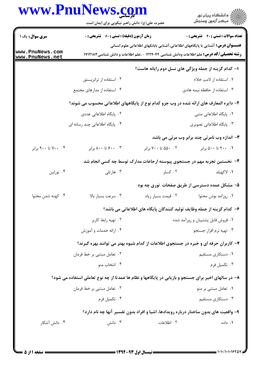|                                    | www.PnuNews.com<br>حضرت علی(ع): دانش راهبر نیکویی برای ایمان است |                     | الاد دانشگاه پيام نور<br>الا مرکز آزمون وسنجش                                                                                                                                             |
|------------------------------------|------------------------------------------------------------------|---------------------|-------------------------------------------------------------------------------------------------------------------------------------------------------------------------------------------|
| <b>سری سوال :</b> یک ۱             | <b>زمان آزمون (دقیقه) : تستی : 60 ٪ تشریحی : 0</b>               |                     | <b>تعداد سوالات : تستی : 40 قشریحی : 0</b>                                                                                                                                                |
| www.PnuNews.com<br>www.PnuNews.net |                                                                  |                     | <b>عنـــوان درس:</b> آشنایی با پایگاههای اطلاعاتی،آشنایی بابانکهای اطلاعاتی علوم انسانی<br><b>رشته تحصیلی/کد درس:</b> علم اطلاعات ودانش شناسی ۱۲۲۴۰۴۴ - ،علم اطلاعات و دانش شناسی ۱۷۱۲۱۸۳ |
|                                    |                                                                  |                     | ا- کدام گزینه از جمله ویژگی های نسل دوم رایانه هاست؟                                                                                                                                      |
|                                    | ۰۲ استفاده از ترانزیستور                                         |                     | ۰۱ استفاده از لامپ خلاء                                                                                                                                                                   |
|                                    | ۰۴ استفاده از مدارهای مجتمع                                      |                     | ۰۳ استفاده از حافظه نیمه هادی                                                                                                                                                             |
|                                    |                                                                  |                     | ۲– دایره المعارف های ارائه شده در وب جزو کدام نوع از پایگاههای اطلاعاتی محسوب می شوند؟                                                                                                    |
|                                    | ۰۲ پایگاه اطلاعاتی عددی                                          |                     | ۰۱ پایگاه اطلاعاتی متنی                                                                                                                                                                   |
|                                    | ۰۴ پایگاه اطلاعاتی چند رسانه ای                                  |                     | ۰۳ پایگاه اطلاعاتی تصویری                                                                                                                                                                 |
|                                    |                                                                  |                     | ۳- اندازه وب نامرئی چند برابر وب مرئی می باشد                                                                                                                                             |
| ۰۴ تا ۹۰۰ برابر                    | ۰۳ ۶۰۰ تا ۸۰۰ برابر                                              | ۰۲ ۵۵۰ تا ۷۰۰ برابر | ۰۱ ۲۰۰ تا ۵۰۰ برابر                                                                                                                                                                       |
|                                    |                                                                  |                     | ۴– نخستین تجربه مهم در جستجوی پیوسته ارجاعات مدارک توسط چه کسی انجام شد                                                                                                                   |
| ۰۴ نورلين                          | ۰۳ هارتلی                                                        | ۰۲ کسلر             | ٠١. لاكهيلد                                                                                                                                                                               |
|                                    |                                                                  |                     | ۵– مشکل عمده دسترسی از طریق صفحات نوری چه بود                                                                                                                                             |
| ۰۴ کهنه شدن محتوا                  | ۰۳ سرعت بسيار بالا                                               |                     | ٠١ روزامد بودن محتوا مسمعة بسيار زياد                                                                                                                                                     |
|                                    |                                                                  |                     | ۶– كدام گزينه از جمله وظايف توليد كنندگان پايگاه هاي اطلاعاتي مي باشد؟                                                                                                                    |
|                                    | ۰۲ تهیه رابط کاربر                                               |                     | ۰۱ فروش فایل پشتیبان و روزآمد شده                                                                                                                                                         |
|                                    | ۰۴ ارائه خدمات و آموزش                                           |                     | ۰۳ تهیه نرم افزار جستجو                                                                                                                                                                   |
|                                    |                                                                  |                     | ۷- کاربران حرفه ای و خبره در جستجوی اطلاعات از کدام شیوه بهتر می توانند بهره گیرند؟                                                                                                       |
|                                    | ۰۲ تعامل مبتنی بر خط فرمان                                       |                     | ۰۱ دستکاری مستقیم                                                                                                                                                                         |
|                                    | ۰۴ انتخاب منو                                                    |                     | ۰۳ تکمیل فرم                                                                                                                                                                              |
|                                    |                                                                  |                     | ۸- در سالهای اخیر برای جستجو و بازیابی در پایگاهها و نظام ها عمدتا از چه نوع تعاملی استفاده می شود؟                                                                                       |
|                                    | ۰۲ تعامل مبتنی بر خط فرمان                                       |                     | ۰۱ تعامل مبتنی بر منو                                                                                                                                                                     |
|                                    | ۰۴ تکمیل فرم                                                     |                     | ۰۳ دستکاری مستقیم                                                                                                                                                                         |
|                                    |                                                                  |                     | ۹- واقعیت های بدون ساختار درباره رویدادها، اشیا و افراد بدون تفسیر آنها چه نام دارد؟                                                                                                      |
| ۰۴ دانش آشکار                      | ۰۳ دانش                                                          | ۰۲ اطلاعات          | ۰۱ داده                                                                                                                                                                                   |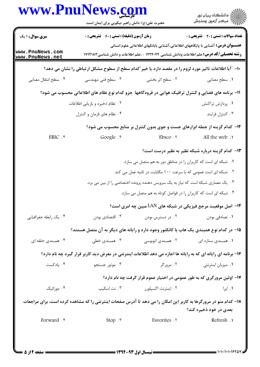|                                    | www.PnuNews.com<br>حضرت علی(ع): دانش راهبر نیکویی برای ایمان است                                                                                                                          |                                                                                  | ِ<br>∭ دانشڪاه پيام نور<br>∭ مرڪز آزمون وسنڊش     |  |
|------------------------------------|-------------------------------------------------------------------------------------------------------------------------------------------------------------------------------------------|----------------------------------------------------------------------------------|---------------------------------------------------|--|
| <b>سری سوال : ۱ یک</b>             | <b>زمان آزمون (دقیقه) : تستی : 60 ٪ تشریحی : 0</b>                                                                                                                                        |                                                                                  | <b>تعداد سوالات : تستي : 40 ٪ تشریحي : 0</b>      |  |
| www.PnuNews.com<br>www.PnuNews.net | <b>عنـــوان درس:</b> آشنایی با پایگاههای اطلاعاتی،آشنایی بابانکهای اطلاعاتی علوم انسانی<br><b>رشته تحصیلی/کد درس:</b> علم اطلاعات ودانش شناسی ۱۲۲۴۰۴۴ - ،علم اطلاعات و دانش شناسی ۱۷۱۲۱۸۳ |                                                                                  |                                                   |  |
|                                    | ∙ا− ″آیا اطلاعات تاثیر مورد لزوم را در مقصد دارد یا خیر ″کدام سطح از سطوح مشکل ارتباطی را نشان می دهد؟                                                                                    |                                                                                  |                                                   |  |
| ۰۴ سطح انتقال معنايي               | ۰۳ سطح فنی مهندسی                                                                                                                                                                         | ۰۲ سطح اثر بخشی                                                                  | ٠١ سطح معنايي                                     |  |
|                                    | 11- برنامه های فضایی و کنترل ترافیک هوایی در فرودگاهها جزو کدام نوع نظام های اطلاعاتی محسوب می شود؟                                                                                       |                                                                                  |                                                   |  |
|                                    | ۰۲ نظام ذخیره و بازیابی اطلاعات                                                                                                                                                           |                                                                                  | ۰۱ پردازش تراکنش                                  |  |
|                                    | ۰۴ نظام های فرمان و کنترل                                                                                                                                                                 |                                                                                  | ۰۳ کنترل فرایند                                   |  |
|                                    |                                                                                                                                                                                           | ۱۲- کدام گزینه از جمله ابزارهای جست و جوی بدون کنترل بر منابع محسوب می شود؟      |                                                   |  |
| ERIC .۴                            | Google .r                                                                                                                                                                                 | Ebsco.7                                                                          | All the web.                                      |  |
|                                    |                                                                                                                                                                                           |                                                                                  | ۱۳– کدام گزینه درباره شبکه نظیر به نظیر درست است؟ |  |
|                                    |                                                                                                                                                                                           | ۰۱ شبکه ای است که کاربران را در مناطق دور به هم متصل می سازد.                    |                                                   |  |
|                                    | ۲۰ شبکه ای است عمومی که با سرعت ۱۰۰ مگابایت در ثانیه عمل می کند.                                                                                                                          |                                                                                  |                                                   |  |
|                                    |                                                                                                                                                                                           | ۰۳ یک معماری شبکه است که نیاز به یک سرویس دهنده پرونده اختصاصی را از بین می برد. |                                                   |  |
|                                    |                                                                                                                                                                                           | ۰۴ شبکه ای است که کاربران را در فواصل کوتاه به هم متصل می سازد.                  |                                                   |  |
|                                    |                                                                                                                                                                                           | ۰۱۴ اصل موقعیت مرجع فیزیکی در شبکه های LAN مبین چه امری است؟                     |                                                   |  |
| ۰۴ یک رابطه جغرافیایی              | ۰۳ اقتصادی بودن                                                                                                                                                                           | ۰۲ در دسترس بودن                                                                 | ٠١ تصادفي بودن                                    |  |
|                                    | ۱۵– در کدام نوع همبندی یک هاب یا کانکتور وجود دارد و رایانه های دیگر به آن متصل هستند؟                                                                                                    |                                                                                  |                                                   |  |
| ۰۴ همبندی حلقه ای                  | ۰۳ همېندی خطی                                                                                                                                                                             | ۰۲ همبندی اتوبوسی                                                                | ۰۱ همبندی ستاره ای                                |  |
|                                    | ۱۶- برنامه ای رایانه ای که به رایانه ها اجازه می دهد اطلاعات اینترنتی در معرض دید کاربر قرار گیرد چه نام دارد؟                                                                            |                                                                                  |                                                   |  |
| ۰۴ پادکست                          | ۰۳ موتور جستجو                                                                                                                                                                            | ۰۲ مرورگر                                                                        | ۰۱ میزبان اینترنتی                                |  |
|                                    |                                                                                                                                                                                           | ۱۷- اولین مرورگری که به طور عمومی در اختیار عموم قرار گرفت چه نام دارد؟          |                                                   |  |
| ۰۴ موزائیک                         | ۰۳ نت اسکیپ                                                                                                                                                                               | ۰۲ اینترنت اکسپلورر                                                              | ۰۱ اپرا                                           |  |
|                                    | ۱۸– کدام منو در مرورگرها به کاربر این امکان را می دهد تا آدرس صفحات اینترنتی را که مشاهده کرده است، برای مراجعات                                                                          |                                                                                  | بعدي در خود ذخيره كند؟                            |  |
| Forward . F                        | Stop .r                                                                                                                                                                                   | Favorites .Y                                                                     | Refresh .                                         |  |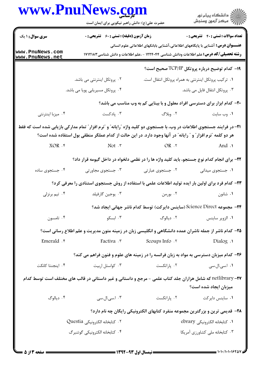|                                                                                                                                                                                                                                      | www.PnuNews.com<br>حضرت علی(ع): دانش راهبر نیکویی برای ایمان است                                                  |                                                                                                                                                                                           |                                               |
|--------------------------------------------------------------------------------------------------------------------------------------------------------------------------------------------------------------------------------------|-------------------------------------------------------------------------------------------------------------------|-------------------------------------------------------------------------------------------------------------------------------------------------------------------------------------------|-----------------------------------------------|
| <b>سری سوال :</b> ۱ یک                                                                                                                                                                                                               | <b>زمان آزمون (دقیقه) : تستی : 60 ٪ تشریحی : 0</b>                                                                |                                                                                                                                                                                           | <b>تعداد سوالات : تستی : 40 قشریحی : 0</b>    |
| www.PnuNews.com<br>www.PnuNews.net                                                                                                                                                                                                   |                                                                                                                   | <b>عنـــوان درس:</b> آشنایی با پایگاههای اطلاعاتی،آشنایی بابانکهای اطلاعاتی علوم انسانی<br><b>رشته تحصیلی/کد درس:</b> علم اطلاعات ودانش شناسی ۱۲۲۴۰۴۴ - ،علم اطلاعات و دانش شناسی ۱۷۱۲۱۸۳ |                                               |
|                                                                                                                                                                                                                                      |                                                                                                                   |                                                                                                                                                                                           | ۱۹- کدام توضیح درباره پروتکل TCP/IP صحیح است؟ |
|                                                                                                                                                                                                                                      | ۰۲ پروتکل اینترنتی می باشد.                                                                                       | ٠١ تركيب پروتكل اينترنتي به همراه پروتكل انتقال است.                                                                                                                                      |                                               |
|                                                                                                                                                                                                                                      | ۰۴ پروتکل مسیریابی پویا می باشد.                                                                                  |                                                                                                                                                                                           | ۰۳ پروتکل انتقال فایل می باشد.                |
|                                                                                                                                                                                                                                      |                                                                                                                   | ۲۰- کدام ابزار برای دسترسی افراد معلول و با بینایی کم به وب مناسب می باشد؟                                                                                                                |                                               |
| ۰۴ میزبا اینترنتی                                                                                                                                                                                                                    | ۰۳ پادکست                                                                                                         | ۲. وبلاگ                                                                                                                                                                                  | ٠١ وب سايت                                    |
| ۲۱– در فرایند جستجوی اطلاعات در وب، با جستجوی دو کلید واژه ″رایانه″ و ″نرم افزار″ تمام مدارکی بازیابی شده است که فقط<br>هر دو کلمه "نرم افزار ؒ و ″ رایانه ؒ در آنها وجود دارد. در این حالت از کدام عملگر منطقی بول استفاده شده است؟ |                                                                                                                   |                                                                                                                                                                                           |                                               |
| $XOR$ . $\mathfrak{f}$                                                                                                                                                                                                               | $Not.$ $\mathsf{r}$                                                                                               | $OR \tcdot Y$                                                                                                                                                                             | ۱. And                                        |
|                                                                                                                                                                                                                                      | ۲۲- برای انجام کدام نوع جستجو، باید کلید واژه ها را در نظمی دلخواه در داخل گیومه قرار داد؟                        |                                                                                                                                                                                           |                                               |
| ۰۴ جستجوی ساده                                                                                                                                                                                                                       | ۰۳ جستجوی مجاورتی                                                                                                 | ۰۲ جستجوی عبارتی                                                                                                                                                                          | ٠١ جستجوي ميداني                              |
|                                                                                                                                                                                                                                      | ۲۳– کدام فرد برای اولین بار ایده تولید اطلاعات علمی با استفاده از روش جستجوی استنادی را معرفی کرد؟                |                                                                                                                                                                                           |                                               |
| ۰۴ تیم برنزلی                                                                                                                                                                                                                        | ۰۳ يوجين گارفيلد                                                                                                  | ۰۲ بورمن                                                                                                                                                                                  | ۰۱ شانون                                      |
|                                                                                                                                                                                                                                      |                                                                                                                   | ۲۴− مجموعه Science Direct (ساینس دایرکت) توسط کدام ناشر جهانی ایجاد شد؟                                                                                                                   |                                               |
| ۰۴ تامسون                                                                                                                                                                                                                            | ۰۳ ابسکو                                                                                                          | ۰۲ دیالوگ                                                                                                                                                                                 | ٠١ الزوير ساينس                               |
|                                                                                                                                                                                                                                      | ۲۵– کدام ناشر از جمله ناشران عمده دانشگاهی و انگلیسی زبان در زمینه متون مدیریت و علم اطلاع رسانی است؟             |                                                                                                                                                                                           |                                               |
| Emerald . ۴                                                                                                                                                                                                                          | Factiva .r                                                                                                        | Scoups Info .Y                                                                                                                                                                            | Dialog .                                      |
|                                                                                                                                                                                                                                      | ۲۶– کدام میزبان دسترسی به مواد به زبان فرانسه را در زمینه های علوم و فنون فراهم می کند؟                           |                                                                                                                                                                                           |                                               |
| ۰۴ اینجنتا کانکت                                                                                                                                                                                                                     | ۰۳ کواستل اربیت                                                                                                   | ۰۲ پاراتکست                                                                                                                                                                               | ۰۱ ا.سی.ال.سی                                 |
|                                                                                                                                                                                                                                      | <b>۲۷-</b> netlibrary که شامل هزاران جلد کتاب علمی - مرجع و داستانی و غیر داستانی در قالب های مختلف است توسط کدام |                                                                                                                                                                                           | میزبان ایجاد شده است؟                         |
| ۰۴ ديالوگ                                                                                                                                                                                                                            | ۰۳ اسی.ال.سی                                                                                                      | ۰۲ پاراتکست                                                                                                                                                                               | ۰۱ ساینس دایرکت                               |
|                                                                                                                                                                                                                                      |                                                                                                                   | ۲۸- قدیمی ترین و بزرگترین مجموعه منفرد کتابهای الکترونیکی رایگان چه نام دارد؟                                                                                                             |                                               |
|                                                                                                                                                                                                                                      | ۰۲ كتابخانه الكترونيكي Questia                                                                                    |                                                                                                                                                                                           | 1. كتابخانه الكترونيكي ebrary                 |
|                                                                                                                                                                                                                                      | ۰۴ كتابخانه الكترونيكي گوتنبرگ                                                                                    |                                                                                                                                                                                           | ۰۳ کتابخانه ملی کشاورزی آمریکا                |
|                                                                                                                                                                                                                                      |                                                                                                                   |                                                                                                                                                                                           |                                               |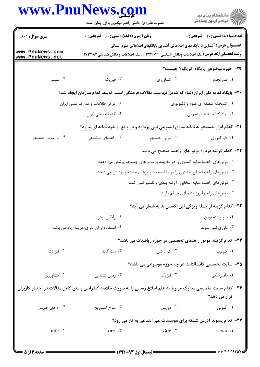| www.PnuNews.com                    | حضرت علی(ع): دانش راهبر نیکویی برای ایمان است                                                                   |                                                                                                | ڪ دانشڪاه پيام نور<br>پ <sup>ر</sup> مرڪز آزمون وسنڊش |
|------------------------------------|-----------------------------------------------------------------------------------------------------------------|------------------------------------------------------------------------------------------------|-------------------------------------------------------|
| <b>سری سوال :</b> ۱ یک             | <b>زمان آزمون (دقیقه) : تستی : 60 ٪ تشریحی : 0</b>                                                              |                                                                                                | <b>تعداد سوالات : تستی : ۴۰ ٪ تشریحی : 0</b>          |
|                                    |                                                                                                                 | <b>عنــــوان درس:</b> آشنایی با پایگاههای اطلاعاتی،آشنایی بابانکهای اطلاعاتی علوم انسانی       |                                                       |
| www.PnuNews.com<br>www.PnuNews.net |                                                                                                                 | <b>رشته تحصیلی/کد درس:</b> علم اطلاعات ودانش شناسی ۱۲۲۴۰۴۴ - ،علم اطلاعات و دانش شناسی ۱۷۱۲۱۸۳ |                                                       |
|                                    |                                                                                                                 |                                                                                                | ٢٩- حوزه موضوعي پايگاه اگريكولا چيست؟                 |
| ۰۴ شیمی                            | ۰۳ فیزیک                                                                                                        | ۰۲ کشاورزی                                                                                     | ٠١. علم نجوم                                          |
|                                    | ۳۰– پایگاه نمایه ملی ایران (نما) که شامل فهرست مقالات فرهنگی است، توسط کدام سازمان ایجاد شد؟                    |                                                                                                |                                                       |
|                                    | ۰۲ مرکز اطلاعات و مدارک علمی ایران                                                                              |                                                                                                | ٠١ كتابخانه منطقه اى علوم و تكنولوژى                  |
|                                    | ۰۴ کتابخانه ملی ایران                                                                                           |                                                                                                | ۰۳ نهاد کتابخانه های عمومی                            |
|                                    | ۳۱- کدام ابزار جستجو به نمایه سازی اینترنتی نمی پردازد و در واقع از خود نمایه ای ندارد؟                         |                                                                                                |                                                       |
| ۰۴ ابر موتور جستجو                 | ۰۳ راهنمای موضوعی                                                                                               | ۰۲ موتور جستجو                                                                                 | ۰۱ دایرکتوری                                          |
|                                    |                                                                                                                 | ۳۲- کدام گزینه درباره موتورهای راهنما صحیح می باشد                                             |                                                       |
|                                    |                                                                                                                 | ۰۱ موتورهای راهنما منابع کمتری را در مقایسه با موتورهای جستجو پوشش می دهند                     |                                                       |
|                                    |                                                                                                                 | ۲۰ موتورهای راهنما منابع بیشتری را در مقایسه با موتورهای جستجو پوشش می دهند.                   |                                                       |
|                                    |                                                                                                                 | ۰۳ موتورهای راهنما منابع انتخابی را رتبه بندی و تفسیر نمی کنند                                 |                                                       |
|                                    |                                                                                                                 |                                                                                                | ۰۴ موتورهای راهنما روزآمد سازی منظم دارند.            |
|                                    |                                                                                                                 | ٣٣- كدام گزينه از جمله ويژگي اپن اكسس ها به شمار مي آيد؟                                       |                                                       |
|                                    | ٠٢ رايگان بودن                                                                                                  |                                                                                                | ۰۱ نا پيوسته بودن                                     |
|                                    | ۰۴ استفاده از آن دارای هزینه زیاد می باشد                                                                       |                                                                                                | ۰۳ داوری نمی شوند                                     |
|                                    |                                                                                                                 | ۳۴- کدام گزینه، موتور راهنمای تخصصی در حوزه ریاضیات می باشد؟                                   |                                                       |
| ۰۴ فیز نت                          | ۰۳ مت گاید                                                                                                      | ۰۲ کم دکس                                                                                      | ۰۱ کم وب                                              |
|                                    |                                                                                                                 | ۳۵- سایت تخصصی کانسالتانت در چه حوزه موضوعی می باشد؟                                           |                                                       |
| ۰۴ کشاورزی                         | ۰۳ زمین شناسی                                                                                                   | ۰۲ فیزیک                                                                                       | ۰۱ دامپزشکی                                           |
|                                    | ۳۶- کدام سایت تخصصی مدارک مربوط به علم اطلاع رسانی را به صورت خلاصه کنفرانس و متن کامل مقالات در اختیار کاربران |                                                                                                |                                                       |
|                                    |                                                                                                                 |                                                                                                | قرار می دهد؟                                          |
| ۰۴ ام دی چویس                      | ۰۳ سرج استوریچ                                                                                                  | ۰۲ دوایس                                                                                       | ۰۱ آثنوس                                              |
|                                    |                                                                                                                 | ۳۷- کدام پسوند آدرس شبکه برای موسسات غیر انتفاعی به کار می رود؟                                |                                                       |
| info .۴                            | $org \cdot r$                                                                                                   | $Gov \cdot Y$                                                                                  | edu.                                                  |

1.1.1.1.19201